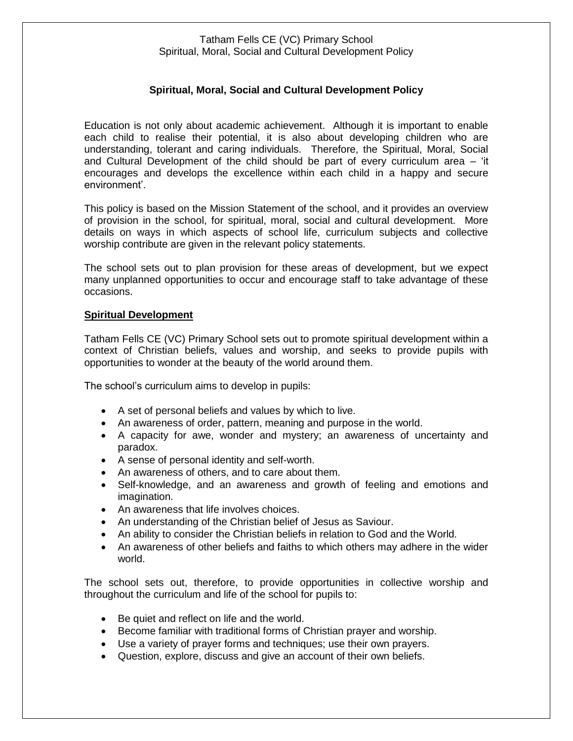# **Spiritual, Moral, Social and Cultural Development Policy**

Education is not only about academic achievement. Although it is important to enable each child to realise their potential, it is also about developing children who are understanding, tolerant and caring individuals. Therefore, the Spiritual, Moral, Social and Cultural Development of the child should be part of every curriculum area – 'it encourages and develops the excellence within each child in a happy and secure environment'.

This policy is based on the Mission Statement of the school, and it provides an overview of provision in the school, for spiritual, moral, social and cultural development. More details on ways in which aspects of school life, curriculum subjects and collective worship contribute are given in the relevant policy statements.

The school sets out to plan provision for these areas of development, but we expect many unplanned opportunities to occur and encourage staff to take advantage of these occasions.

#### **Spiritual Development**

Tatham Fells CE (VC) Primary School sets out to promote spiritual development within a context of Christian beliefs, values and worship, and seeks to provide pupils with opportunities to wonder at the beauty of the world around them.

The school's curriculum aims to develop in pupils:

- A set of personal beliefs and values by which to live.
- An awareness of order, pattern, meaning and purpose in the world.
- A capacity for awe, wonder and mystery; an awareness of uncertainty and paradox.
- A sense of personal identity and self-worth.
- An awareness of others, and to care about them.
- Self-knowledge, and an awareness and growth of feeling and emotions and imagination.
- An awareness that life involves choices.
- An understanding of the Christian belief of Jesus as Saviour.
- An ability to consider the Christian beliefs in relation to God and the World.
- An awareness of other beliefs and faiths to which others may adhere in the wider world.

The school sets out, therefore, to provide opportunities in collective worship and throughout the curriculum and life of the school for pupils to:

- Be quiet and reflect on life and the world.
- Become familiar with traditional forms of Christian prayer and worship.
- Use a variety of prayer forms and techniques; use their own prayers.
- Question, explore, discuss and give an account of their own beliefs.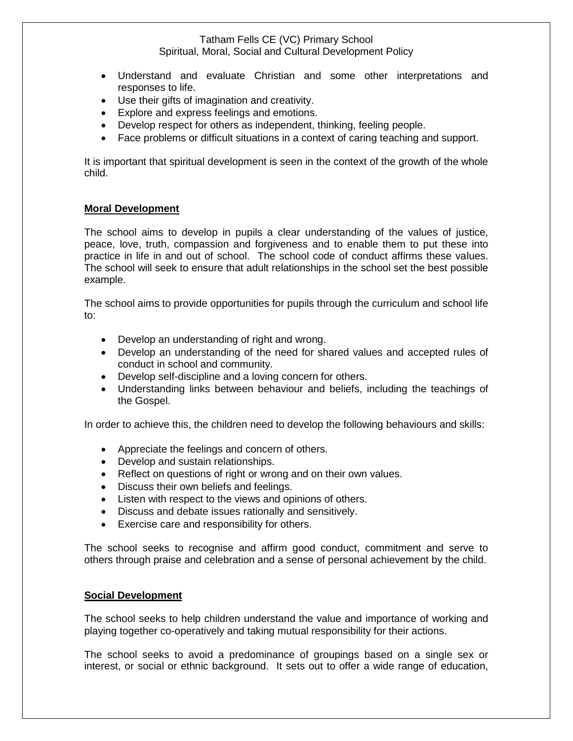- Understand and evaluate Christian and some other interpretations and responses to life.
- Use their gifts of imagination and creativity.
- Explore and express feelings and emotions.
- Develop respect for others as independent, thinking, feeling people.
- Face problems or difficult situations in a context of caring teaching and support.

It is important that spiritual development is seen in the context of the growth of the whole child.

### **Moral Development**

The school aims to develop in pupils a clear understanding of the values of justice, peace, love, truth, compassion and forgiveness and to enable them to put these into practice in life in and out of school. The school code of conduct affirms these values. The school will seek to ensure that adult relationships in the school set the best possible example.

The school aims to provide opportunities for pupils through the curriculum and school life to:

- Develop an understanding of right and wrong.
- Develop an understanding of the need for shared values and accepted rules of conduct in school and community.
- Develop self-discipline and a loving concern for others.
- Understanding links between behaviour and beliefs, including the teachings of the Gospel.

In order to achieve this, the children need to develop the following behaviours and skills:

- Appreciate the feelings and concern of others.
- Develop and sustain relationships.
- Reflect on questions of right or wrong and on their own values.
- Discuss their own beliefs and feelings.
- Listen with respect to the views and opinions of others.
- Discuss and debate issues rationally and sensitively.
- Exercise care and responsibility for others.

The school seeks to recognise and affirm good conduct, commitment and serve to others through praise and celebration and a sense of personal achievement by the child.

### **Social Development**

The school seeks to help children understand the value and importance of working and playing together co-operatively and taking mutual responsibility for their actions.

The school seeks to avoid a predominance of groupings based on a single sex or interest, or social or ethnic background. It sets out to offer a wide range of education,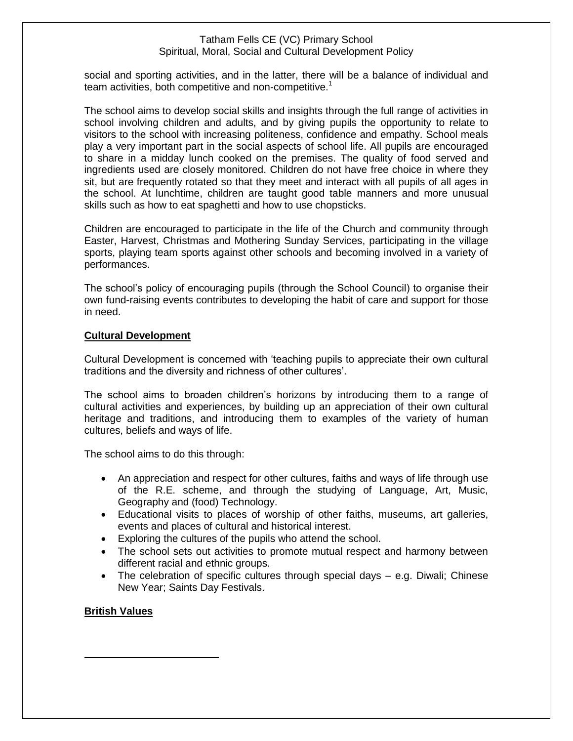social and sporting activities, and in the latter, there will be a balance of individual and team activities, both competitive and non-competitive.<sup>1</sup>

The school aims to develop social skills and insights through the full range of activities in school involving children and adults, and by giving pupils the opportunity to relate to visitors to the school with increasing politeness, confidence and empathy. School meals play a very important part in the social aspects of school life. All pupils are encouraged to share in a midday lunch cooked on the premises. The quality of food served and ingredients used are closely monitored. Children do not have free choice in where they sit, but are frequently rotated so that they meet and interact with all pupils of all ages in the school. At lunchtime, children are taught good table manners and more unusual skills such as how to eat spaghetti and how to use chopsticks.

Children are encouraged to participate in the life of the Church and community through Easter, Harvest, Christmas and Mothering Sunday Services, participating in the village sports, playing team sports against other schools and becoming involved in a variety of performances.

The school's policy of encouraging pupils (through the School Council) to organise their own fund-raising events contributes to developing the habit of care and support for those in need.

# **Cultural Development**

Cultural Development is concerned with 'teaching pupils to appreciate their own cultural traditions and the diversity and richness of other cultures'.

The school aims to broaden children's horizons by introducing them to a range of cultural activities and experiences, by building up an appreciation of their own cultural heritage and traditions, and introducing them to examples of the variety of human cultures, beliefs and ways of life.

The school aims to do this through:

- An appreciation and respect for other cultures, faiths and ways of life through use of the R.E. scheme, and through the studying of Language, Art, Music, Geography and (food) Technology.
- Educational visits to places of worship of other faiths, museums, art galleries, events and places of cultural and historical interest.
- Exploring the cultures of the pupils who attend the school.
- The school sets out activities to promote mutual respect and harmony between different racial and ethnic groups.
- The celebration of specific cultures through special days e.g. Diwali; Chinese New Year; Saints Day Festivals.

### **British Values**

 $\overline{a}$